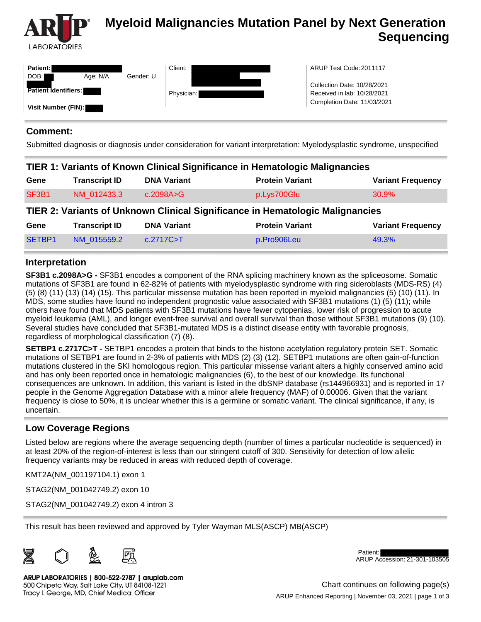

# **Myeloid Malignancies Mutation Panel by Next Generation Sequencing**

| <b>Patient:</b><br>DOB:     | Age: N/A | Gender: U | Client:    | ARUP Test Code: 2011117                                    |
|-----------------------------|----------|-----------|------------|------------------------------------------------------------|
| <b>Patient Identifiers:</b> |          |           | Physician: | Collection Date: 10/28/2021<br>Received in lab: 10/28/2021 |
| Visit Number (FIN):         |          |           |            | Completion Date: 11/03/2021                                |

#### **Comment:**

Submitted diagnosis or diagnosis under consideration for variant interpretation: Myelodysplastic syndrome, unspecified

#### **TIER 1: Variants of Known Clinical Significance in Hematologic Malignancies**

| Gene                                                                          | <b>Transcript ID</b> | <b>DNA Variant</b> | <b>Protein Variant</b> | <b>Variant Frequency</b> |  |  |  |  |
|-------------------------------------------------------------------------------|----------------------|--------------------|------------------------|--------------------------|--|--|--|--|
| SF3B1                                                                         | NM 012433.3          | c.2098A>G          | p.Lys700Glu            | 30.9%                    |  |  |  |  |
| TIER 2: Variants of Unknown Clinical Significance in Hematologic Malignancies |                      |                    |                        |                          |  |  |  |  |
| Gene                                                                          | <b>Transcript ID</b> | <b>DNA Variant</b> | <b>Protein Variant</b> | <b>Variant Frequency</b> |  |  |  |  |
| SETBP1                                                                        | NM 015559.2          | c.2717C > T        | p.Pro906Leu            | 49.3%                    |  |  |  |  |

### **Interpretation**

**SF3B1 c.2098A>G -** SF3B1 encodes a component of the RNA splicing machinery known as the spliceosome. Somatic mutations of SF3B1 are found in 62-82% of patients with myelodysplastic syndrome with ring sideroblasts (MDS-RS) (4) (5) (8) (11) (13) (14) (15). This particular missense mutation has been reported in myeloid malignancies (5) (10) (11). In MDS, some studies have found no independent prognostic value associated with SF3B1 mutations (1) (5) (11); while others have found that MDS patients with SF3B1 mutations have fewer cytopenias, lower risk of progression to acute myeloid leukemia (AML), and longer event-free survival and overall survival than those without SF3B1 mutations (9) (10). Several studies have concluded that SF3B1-mutated MDS is a distinct disease entity with favorable prognosis, regardless of morphological classification (7) (8).

**SETBP1 c.2717C>T -** SETBP1 encodes a protein that binds to the histone acetylation regulatory protein SET. Somatic mutations of SETBP1 are found in 2-3% of patients with MDS (2) (3) (12). SETBP1 mutations are often gain-of-function mutations clustered in the SKI homologous region. This particular missense variant alters a highly conserved amino acid and has only been reported once in hematologic malignancies (6), to the best of our knowledge. Its functional consequences are unknown. In addition, this variant is listed in the dbSNP database (rs144966931) and is reported in 17 people in the Genome Aggregation Database with a minor allele frequency (MAF) of 0.00006. Given that the variant frequency is close to 50%, it is unclear whether this is a germline or somatic variant. The clinical significance, if any, is uncertain.

### **Low Coverage Regions**

Listed below are regions where the average sequencing depth (number of times a particular nucleotide is sequenced) in at least 20% of the region-of-interest is less than our stringent cutoff of 300. Sensitivity for detection of low allelic frequency variants may be reduced in areas with reduced depth of coverage.

KMT2A(NM\_001197104.1) exon 1

STAG2(NM\_001042749.2) exon 10

STAG2(NM\_001042749.2) exon 4 intron 3

This result has been reviewed and approved by Tyler Wayman MLS(ASCP) MB(ASCP)



ARUP LABORATORIES | 800-522-2787 | aruplab.com 500 Chipeta Way, Salt Lake City, UT 84108-1221 Tracy I. George, MD, Chief Medical Officer

Patient: ARUP Accession: 21-301-103505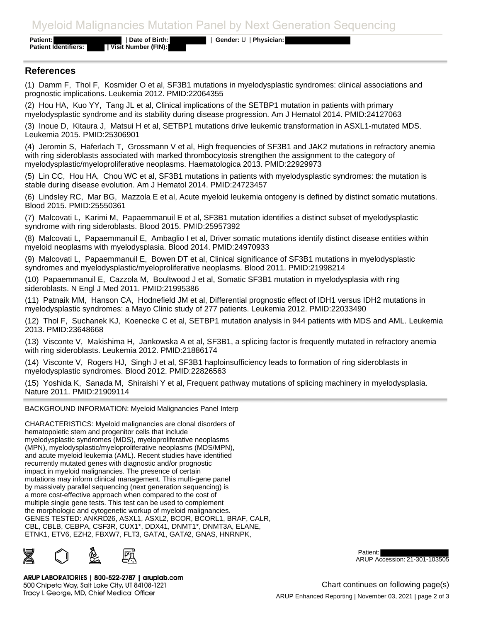## Myeloid Malignancies Mutation Panel by Next Generation Sequencing

**Patient:** | **Date of Birth:** | **Gender:** U | **Physician:** 

**Patient Identifiers: | Visit Number (FIN):** 

#### **References**

(1) Damm F, Thol F, Kosmider O et al, SF3B1 mutations in myelodysplastic syndromes: clinical associations and prognostic implications. Leukemia 2012. PMID:22064355

(2) Hou HA, Kuo YY, Tang JL et al, Clinical implications of the SETBP1 mutation in patients with primary myelodysplastic syndrome and its stability during disease progression. Am J Hematol 2014. PMID:24127063

(3) Inoue D, Kitaura J, Matsui H et al, SETBP1 mutations drive leukemic transformation in ASXL1-mutated MDS. Leukemia 2015. PMID:25306901

(4) Jeromin S, Haferlach T, Grossmann V et al, High frequencies of SF3B1 and JAK2 mutations in refractory anemia with ring sideroblasts associated with marked thrombocytosis strengthen the assignment to the category of myelodysplastic/myeloproliferative neoplasms. Haematologica 2013. PMID:22929973

(5) Lin CC, Hou HA, Chou WC et al, SF3B1 mutations in patients with myelodysplastic syndromes: the mutation is stable during disease evolution. Am J Hematol 2014. PMID:24723457

(6) Lindsley RC, Mar BG, Mazzola E et al, Acute myeloid leukemia ontogeny is defined by distinct somatic mutations. Blood 2015. PMID:25550361

(7) Malcovati L, Karimi M, Papaemmanuil E et al, SF3B1 mutation identifies a distinct subset of myelodysplastic syndrome with ring sideroblasts. Blood 2015. PMID:25957392

(8) Malcovati L, Papaemmanuil E, Ambaglio I et al, Driver somatic mutations identify distinct disease entities within myeloid neoplasms with myelodysplasia. Blood 2014. PMID:24970933

(9) Malcovati L, Papaemmanuil E, Bowen DT et al, Clinical significance of SF3B1 mutations in myelodysplastic syndromes and myelodysplastic/myeloproliferative neoplasms. Blood 2011. PMID:21998214

(10) Papaemmanuil E, Cazzola M, Boultwood J et al, Somatic SF3B1 mutation in myelodysplasia with ring sideroblasts. N Engl J Med 2011. PMID:21995386

(11) Patnaik MM, Hanson CA, Hodnefield JM et al, Differential prognostic effect of IDH1 versus IDH2 mutations in myelodysplastic syndromes: a Mayo Clinic study of 277 patients. Leukemia 2012. PMID:22033490

(12) Thol F, Suchanek KJ, Koenecke C et al, SETBP1 mutation analysis in 944 patients with MDS and AML. Leukemia 2013. PMID:23648668

(13) Visconte V, Makishima H, Jankowska A et al, SF3B1, a splicing factor is frequently mutated in refractory anemia with ring sideroblasts. Leukemia 2012. PMID:21886174

(14) Visconte V, Rogers HJ, Singh J et al, SF3B1 haploinsufficiency leads to formation of ring sideroblasts in myelodysplastic syndromes. Blood 2012. PMID:22826563

(15) Yoshida K, Sanada M, Shiraishi Y et al, Frequent pathway mutations of splicing machinery in myelodysplasia. Nature 2011. PMID:21909114

#### BACKGROUND INFORMATION: Myeloid Malignancies Panel Interp

CHARACTERISTICS: Myeloid malignancies are clonal disorders of hematopoietic stem and progenitor cells that include myelodysplastic syndromes (MDS), myeloproliferative neoplasms (MPN), myelodysplastic/myeloproliferative neoplasms (MDS/MPN), and acute myeloid leukemia (AML). Recent studies have identified recurrently mutated genes with diagnostic and/or prognostic impact in myeloid malignancies. The presence of certain mutations may inform clinical management. This multi-gene panel by massively parallel sequencing (next generation sequencing) is a more cost-effective approach when compared to the cost of multiple single gene tests. This test can be used to complement the morphologic and cytogenetic workup of myeloid malignancies. GENES TESTED: ANKRD26, ASXL1, ASXL2, BCOR, BCORL1, BRAF, CALR, CBL, CBLB, CEBPA, CSF3R, CUX1\*, DDX41, DNMT1\*, DNMT3A, ELANE, ETNK1, ETV6, EZH2, FBXW7, FLT3, GATA1, GATA2, GNAS, HNRNPK,



Patient: ARUP Accession: 21-301-103505

ARUP LABORATORIES | 800-522-2787 | aruplab.com 500 Chipeta Way, Salt Lake City, UT 84108-1221 Tracy I. George, MD, Chief Medical Officer

ARUP Enhanced Reporting | November 03, 2021 | page 2 of 3 Chart continues on following page(s)